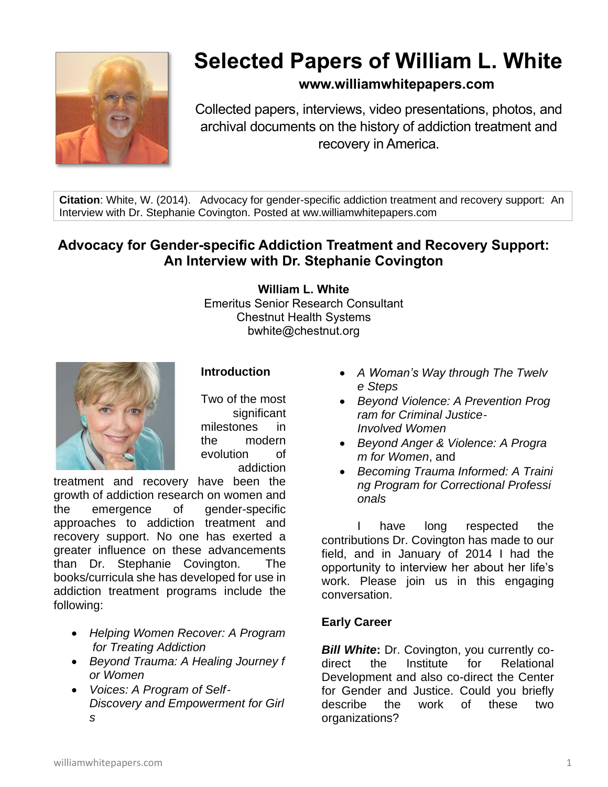

# **Selected Papers of William L. White**

# **www.williamwhitepapers.com**

Collected papers, interviews, video presentations, photos, and archival documents on the history of addiction treatment and recovery in America.

**Citation**: White, W. (2014). Advocacy for gender-specific addiction treatment and recovery support: An Interview with Dr. Stephanie Covington. Posted at ww.williamwhitepapers.com

# **Advocacy for Gender-specific Addiction Treatment and Recovery Support: An Interview with Dr. Stephanie Covington**

**William L. White**

Emeritus Senior Research Consultant Chestnut Health Systems bwhite@chestnut.org



Two of the most significant milestones in the modern

evolution of

addiction

**Introduction**

treatment and recovery have been the growth of addiction research on women and the emergence of gender-specific approaches to addiction treatment and recovery support. No one has exerted a greater influence on these advancements than Dr. Stephanie Covington. The books/curricula she has developed for use in addiction treatment programs include the following:

- *Helping Women Recover: A Program for Treating Addiction*
- *Beyond Trauma: A Healing Journey f or Women*
- *Voices: A Program of Self*‐ *Discovery and Empowerment for Girl s*
- *A Woman's Way through The Twelv e Steps*
- *Beyond Violence: A Prevention Prog ram for Criminal Justice*‐ *Involved Women*
- *Beyond Anger & Violence: A Progra m for Women*, and
- *Becoming Trauma Informed: A Traini ng Program for Correctional Professi onals*

I have long respected the contributions Dr. Covington has made to our field, and in January of 2014 I had the opportunity to interview her about her life's work. Please join us in this engaging conversation.

# **Early Career**

*Bill White***:** Dr. Covington, you currently codirect the Institute for Relational Development and also co-direct the Center for Gender and Justice. Could you briefly describe the work of these two organizations?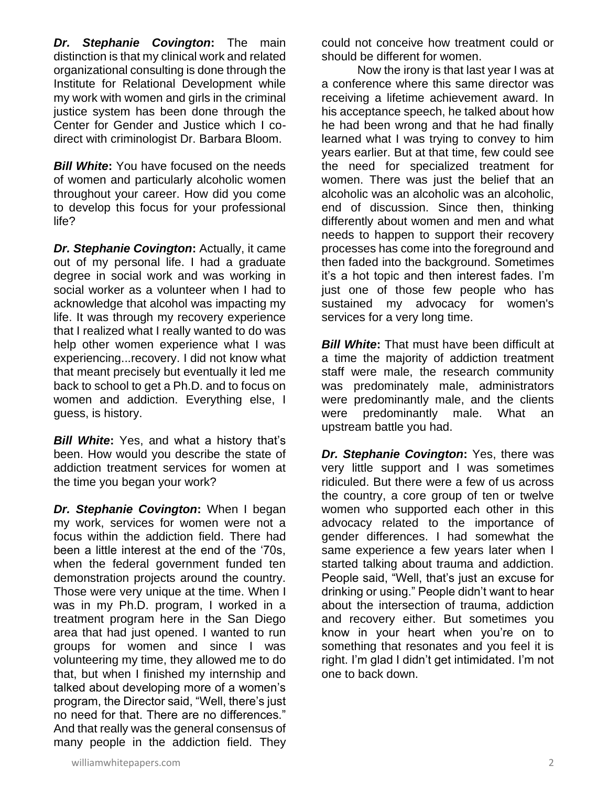*Dr. Stephanie Covington***:** The main distinction is that my clinical work and related organizational consulting is done through the Institute for Relational Development while my work with women and girls in the criminal justice system has been done through the Center for Gender and Justice which I codirect with criminologist Dr. Barbara Bloom.

*Bill White***:** You have focused on the needs of women and particularly alcoholic women throughout your career. How did you come to develop this focus for your professional life?

*Dr. Stephanie Covington***:** Actually, it came out of my personal life. I had a graduate degree in social work and was working in social worker as a volunteer when I had to acknowledge that alcohol was impacting my life. It was through my recovery experience that I realized what I really wanted to do was help other women experience what I was experiencing...recovery. I did not know what that meant precisely but eventually it led me back to school to get a Ph.D. and to focus on women and addiction. Everything else, I guess, is history.

*Bill White***:** Yes, and what a history that's been. How would you describe the state of addiction treatment services for women at the time you began your work?

*Dr. Stephanie Covington***:** When I began my work, services for women were not a focus within the addiction field. There had been a little interest at the end of the '70s, when the federal government funded ten demonstration projects around the country. Those were very unique at the time. When I was in my Ph.D. program, I worked in a treatment program here in the San Diego area that had just opened. I wanted to run groups for women and since I was volunteering my time, they allowed me to do that, but when I finished my internship and talked about developing more of a women's program, the Director said, "Well, there's just no need for that. There are no differences." And that really was the general consensus of many people in the addiction field. They

could not conceive how treatment could or should be different for women.

Now the irony is that last year I was at a conference where this same director was receiving a lifetime achievement award. In his acceptance speech, he talked about how he had been wrong and that he had finally learned what I was trying to convey to him years earlier. But at that time, few could see the need for specialized treatment for women. There was just the belief that an alcoholic was an alcoholic was an alcoholic, end of discussion. Since then, thinking differently about women and men and what needs to happen to support their recovery processes has come into the foreground and then faded into the background. Sometimes it's a hot topic and then interest fades. I'm just one of those few people who has sustained my advocacy for women's services for a very long time.

**Bill White:** That must have been difficult at a time the majority of addiction treatment staff were male, the research community was predominately male, administrators were predominantly male, and the clients were predominantly male. What an upstream battle you had.

*Dr. Stephanie Covington: Yes, there was* very little support and I was sometimes ridiculed. But there were a few of us across the country, a core group of ten or twelve women who supported each other in this advocacy related to the importance of gender differences. I had somewhat the same experience a few years later when I started talking about trauma and addiction. People said, "Well, that's just an excuse for drinking or using." People didn't want to hear about the intersection of trauma, addiction and recovery either. But sometimes you know in your heart when you're on to something that resonates and you feel it is right. I'm glad I didn't get intimidated. I'm not one to back down.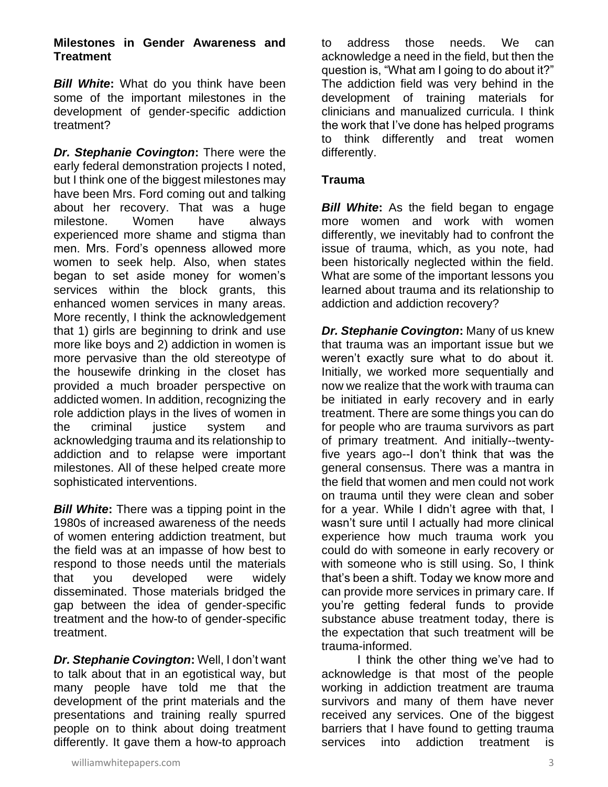#### **Milestones in Gender Awareness and Treatment**

*Bill White***:** What do you think have been some of the important milestones in the development of gender-specific addiction treatment?

*Dr. Stephanie Covington***:** There were the early federal demonstration projects I noted, but I think one of the biggest milestones may have been Mrs. Ford coming out and talking about her recovery. That was a huge milestone. Women have always experienced more shame and stigma than men. Mrs. Ford's openness allowed more women to seek help. Also, when states began to set aside money for women's services within the block grants, this enhanced women services in many areas. More recently, I think the acknowledgement that 1) girls are beginning to drink and use more like boys and 2) addiction in women is more pervasive than the old stereotype of the housewife drinking in the closet has provided a much broader perspective on addicted women. In addition, recognizing the role addiction plays in the lives of women in the criminal justice system and acknowledging trauma and its relationship to addiction and to relapse were important milestones. All of these helped create more sophisticated interventions.

*Bill White***:** There was a tipping point in the 1980s of increased awareness of the needs of women entering addiction treatment, but the field was at an impasse of how best to respond to those needs until the materials that you developed were widely disseminated. Those materials bridged the gap between the idea of gender-specific treatment and the how-to of gender-specific treatment.

*Dr. Stephanie Covington***:** Well, I don't want to talk about that in an egotistical way, but many people have told me that the development of the print materials and the presentations and training really spurred people on to think about doing treatment differently. It gave them a how-to approach to address those needs. We can acknowledge a need in the field, but then the question is, "What am I going to do about it?" The addiction field was very behind in the development of training materials for clinicians and manualized curricula. I think the work that I've done has helped programs to think differently and treat women differently.

## **Trauma**

**Bill White:** As the field began to engage more women and work with women differently, we inevitably had to confront the issue of trauma, which, as you note, had been historically neglected within the field. What are some of the important lessons you learned about trauma and its relationship to addiction and addiction recovery?

*Dr. Stephanie Covington***:** Many of us knew that trauma was an important issue but we weren't exactly sure what to do about it. Initially, we worked more sequentially and now we realize that the work with trauma can be initiated in early recovery and in early treatment. There are some things you can do for people who are trauma survivors as part of primary treatment. And initially--twentyfive years ago--I don't think that was the general consensus. There was a mantra in the field that women and men could not work on trauma until they were clean and sober for a year. While I didn't agree with that, I wasn't sure until I actually had more clinical experience how much trauma work you could do with someone in early recovery or with someone who is still using. So, I think that's been a shift. Today we know more and can provide more services in primary care. If you're getting federal funds to provide substance abuse treatment today, there is the expectation that such treatment will be trauma-informed.

I think the other thing we've had to acknowledge is that most of the people working in addiction treatment are trauma survivors and many of them have never received any services. One of the biggest barriers that I have found to getting trauma services into addiction treatment is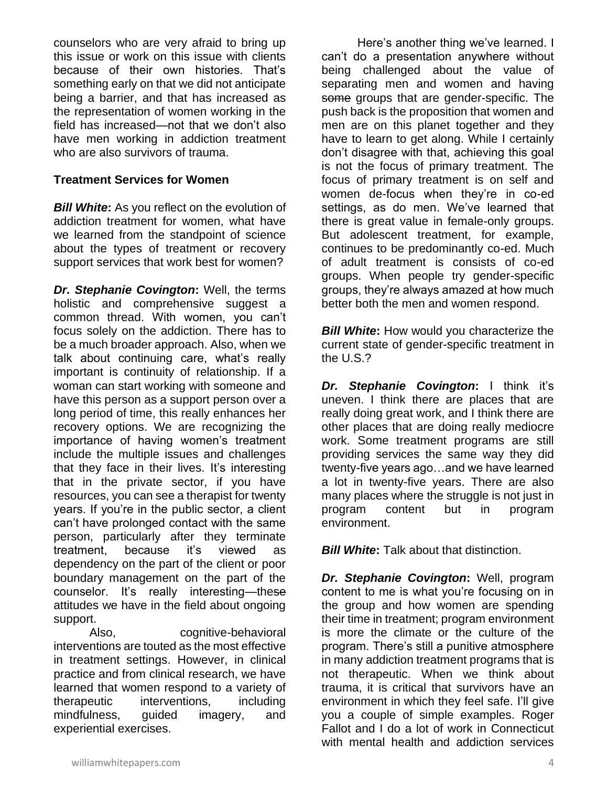counselors who are very afraid to bring up this issue or work on this issue with clients because of their own histories. That's something early on that we did not anticipate being a barrier, and that has increased as the representation of women working in the field has increased—not that we don't also have men working in addiction treatment who are also survivors of trauma.

#### **Treatment Services for Women**

*Bill White***:** As you reflect on the evolution of addiction treatment for women, what have we learned from the standpoint of science about the types of treatment or recovery support services that work best for women?

*Dr. Stephanie Covington***:** Well, the terms holistic and comprehensive suggest a common thread. With women, you can't focus solely on the addiction. There has to be a much broader approach. Also, when we talk about continuing care, what's really important is continuity of relationship. If a woman can start working with someone and have this person as a support person over a long period of time, this really enhances her recovery options. We are recognizing the importance of having women's treatment include the multiple issues and challenges that they face in their lives. It's interesting that in the private sector, if you have resources, you can see a therapist for twenty years. If you're in the public sector, a client can't have prolonged contact with the same person, particularly after they terminate treatment, because it's viewed as dependency on the part of the client or poor boundary management on the part of the counselor. It's really interesting—these attitudes we have in the field about ongoing support.

Also, cognitive-behavioral interventions are touted as the most effective in treatment settings. However, in clinical practice and from clinical research, we have learned that women respond to a variety of therapeutic interventions, including mindfulness, guided imagery, and experiential exercises.

Here's another thing we've learned. I can't do a presentation anywhere without being challenged about the value of separating men and women and having some groups that are gender-specific. The push back is the proposition that women and men are on this planet together and they have to learn to get along. While I certainly don't disagree with that, achieving this goal is not the focus of primary treatment. The focus of primary treatment is on self and women de-focus when they're in co-ed settings, as do men. We've learned that there is great value in female-only groups. But adolescent treatment, for example, continues to be predominantly co-ed. Much of adult treatment is consists of co-ed groups. When people try gender-specific groups, they're always amazed at how much better both the men and women respond.

*Bill White:* How would you characterize the current state of gender-specific treatment in the U.S.?

*Dr. Stephanie Covington***:** I think it's uneven. I think there are places that are really doing great work, and I think there are other places that are doing really mediocre work. Some treatment programs are still providing services the same way they did twenty-five years ago…and we have learned a lot in twenty-five years. There are also many places where the struggle is not just in program content but in program environment.

*Bill White:* Talk about that distinction.

*Dr. Stephanie Covington***:** Well, program content to me is what you're focusing on in the group and how women are spending their time in treatment; program environment is more the climate or the culture of the program. There's still a punitive atmosphere in many addiction treatment programs that is not therapeutic. When we think about trauma, it is critical that survivors have an environment in which they feel safe. I'll give you a couple of simple examples. Roger Fallot and I do a lot of work in Connecticut with mental health and addiction services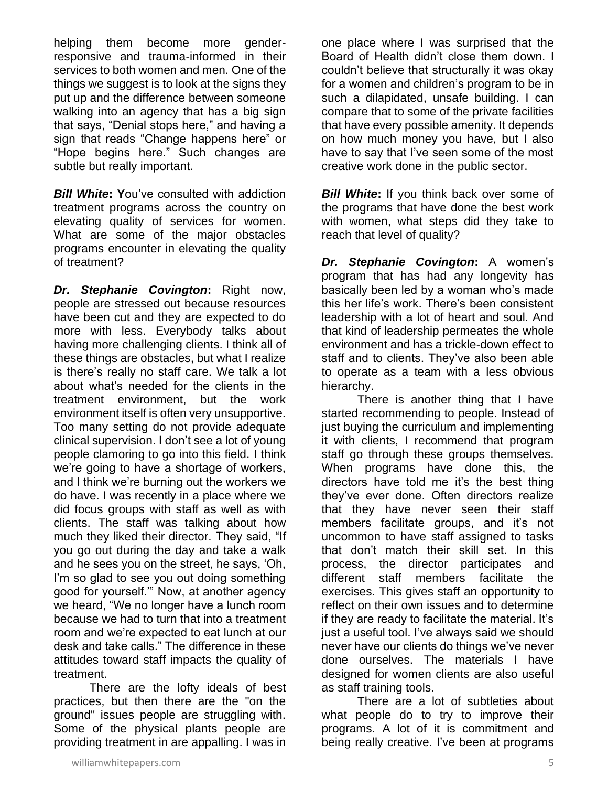helping them become more genderresponsive and trauma-informed in their services to both women and men. One of the things we suggest is to look at the signs they put up and the difference between someone walking into an agency that has a big sign that says, "Denial stops here," and having a sign that reads "Change happens here" or "Hope begins here." Such changes are subtle but really important.

*Bill White***: Y**ou've consulted with addiction treatment programs across the country on elevating quality of services for women. What are some of the major obstacles programs encounter in elevating the quality of treatment?

*Dr. Stephanie Covington***:** Right now, people are stressed out because resources have been cut and they are expected to do more with less. Everybody talks about having more challenging clients. I think all of these things are obstacles, but what I realize is there's really no staff care. We talk a lot about what's needed for the clients in the treatment environment, but the work environment itself is often very unsupportive. Too many setting do not provide adequate clinical supervision. I don't see a lot of young people clamoring to go into this field. I think we're going to have a shortage of workers, and I think we're burning out the workers we do have. I was recently in a place where we did focus groups with staff as well as with clients. The staff was talking about how much they liked their director. They said, "If you go out during the day and take a walk and he sees you on the street, he says, 'Oh, I'm so glad to see you out doing something good for yourself.'" Now, at another agency we heard, "We no longer have a lunch room because we had to turn that into a treatment room and we're expected to eat lunch at our desk and take calls." The difference in these attitudes toward staff impacts the quality of treatment.

There are the lofty ideals of best practices, but then there are the "on the ground" issues people are struggling with. Some of the physical plants people are providing treatment in are appalling. I was in

one place where I was surprised that the Board of Health didn't close them down. I couldn't believe that structurally it was okay for a women and children's program to be in such a dilapidated, unsafe building. I can compare that to some of the private facilities that have every possible amenity. It depends on how much money you have, but I also have to say that I've seen some of the most creative work done in the public sector.

**Bill White:** If you think back over some of the programs that have done the best work with women, what steps did they take to reach that level of quality?

*Dr. Stephanie Covington***:** A women's program that has had any longevity has basically been led by a woman who's made this her life's work. There's been consistent leadership with a lot of heart and soul. And that kind of leadership permeates the whole environment and has a trickle-down effect to staff and to clients. They've also been able to operate as a team with a less obvious hierarchy.

There is another thing that I have started recommending to people. Instead of just buying the curriculum and implementing it with clients, I recommend that program staff go through these groups themselves. When programs have done this, the directors have told me it's the best thing they've ever done. Often directors realize that they have never seen their staff members facilitate groups, and it's not uncommon to have staff assigned to tasks that don't match their skill set. In this process, the director participates and different staff members facilitate the exercises. This gives staff an opportunity to reflect on their own issues and to determine if they are ready to facilitate the material. It's just a useful tool. I've always said we should never have our clients do things we've never done ourselves. The materials I have designed for women clients are also useful as staff training tools.

There are a lot of subtleties about what people do to try to improve their programs. A lot of it is commitment and being really creative. I've been at programs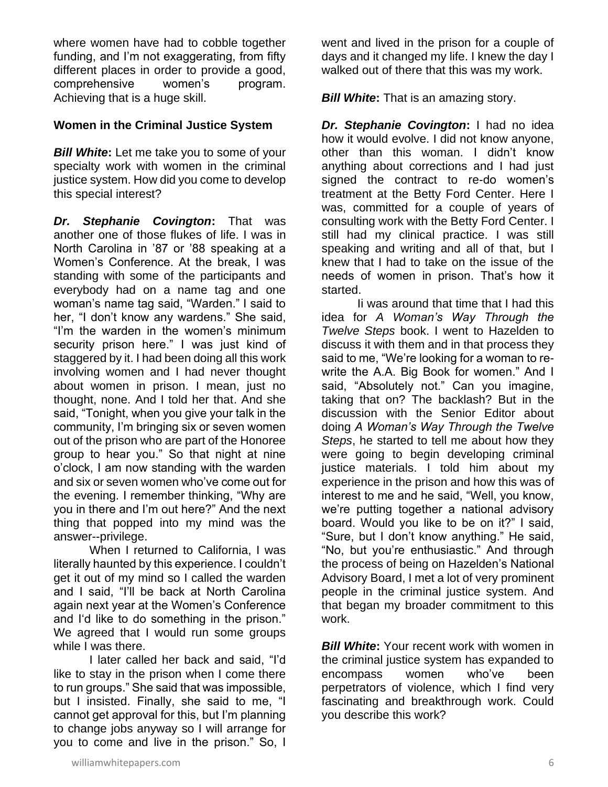where women have had to cobble together funding, and I'm not exaggerating, from fifty different places in order to provide a good, comprehensive women's program. Achieving that is a huge skill.

#### **Women in the Criminal Justice System**

*Bill White***:** Let me take you to some of your specialty work with women in the criminal justice system. How did you come to develop this special interest?

*Dr. Stephanie Covington***:** That was another one of those flukes of life. I was in North Carolina in '87 or '88 speaking at a Women's Conference. At the break, I was standing with some of the participants and everybody had on a name tag and one woman's name tag said, "Warden." I said to her, "I don't know any wardens." She said, "I'm the warden in the women's minimum security prison here." I was just kind of staggered by it. I had been doing all this work involving women and I had never thought about women in prison. I mean, just no thought, none. And I told her that. And she said, "Tonight, when you give your talk in the community, I'm bringing six or seven women out of the prison who are part of the Honoree group to hear you." So that night at nine o'clock, I am now standing with the warden and six or seven women who've come out for the evening. I remember thinking, "Why are you in there and I'm out here?" And the next thing that popped into my mind was the answer--privilege.

When I returned to California, I was literally haunted by this experience. I couldn't get it out of my mind so I called the warden and I said, "I'll be back at North Carolina again next year at the Women's Conference and I'd like to do something in the prison." We agreed that I would run some groups while I was there.

I later called her back and said, "I'd like to stay in the prison when I come there to run groups." She said that was impossible, but I insisted. Finally, she said to me, "I cannot get approval for this, but I'm planning to change jobs anyway so I will arrange for you to come and live in the prison." So, I

went and lived in the prison for a couple of days and it changed my life. I knew the day I walked out of there that this was my work.

*Bill White***:** That is an amazing story.

*Dr. Stephanie Covington***:** I had no idea how it would evolve. I did not know anyone, other than this woman. I didn't know anything about corrections and I had just signed the contract to re-do women's treatment at the Betty Ford Center. Here I was, committed for a couple of years of consulting work with the Betty Ford Center. I still had my clinical practice. I was still speaking and writing and all of that, but I knew that I had to take on the issue of the needs of women in prison. That's how it started.

Ii was around that time that I had this idea for *A Woman's Way Through the Twelve Steps* book. I went to Hazelden to discuss it with them and in that process they said to me, "We're looking for a woman to rewrite the A.A. Big Book for women." And I said, "Absolutely not." Can you imagine, taking that on? The backlash? But in the discussion with the Senior Editor about doing *A Woman's Way Through the Twelve Steps*, he started to tell me about how they were going to begin developing criminal justice materials. I told him about my experience in the prison and how this was of interest to me and he said, "Well, you know, we're putting together a national advisory board. Would you like to be on it?" I said, "Sure, but I don't know anything." He said, "No, but you're enthusiastic." And through the process of being on Hazelden's National Advisory Board, I met a lot of very prominent people in the criminal justice system. And that began my broader commitment to this work.

*Bill White:* Your recent work with women in the criminal justice system has expanded to encompass women who've been perpetrators of violence, which I find very fascinating and breakthrough work. Could you describe this work?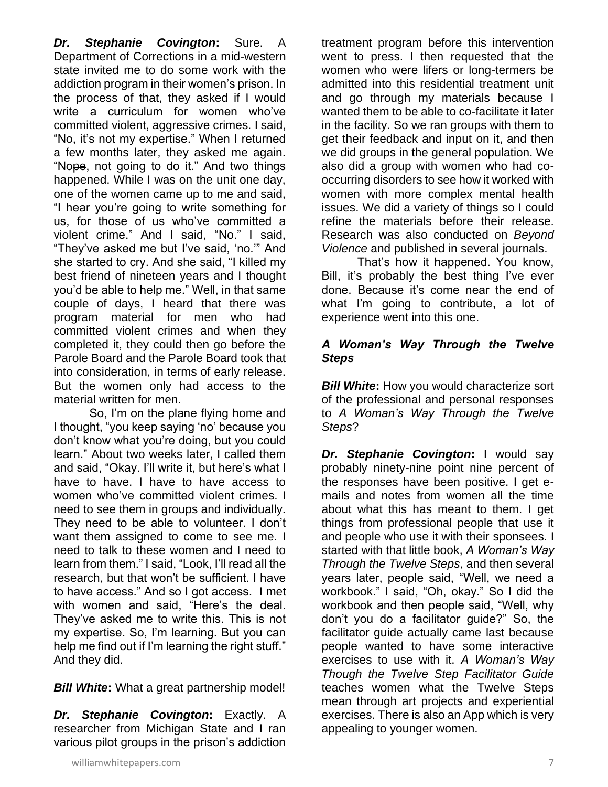*Dr. Stephanie Covington***:** Sure. A Department of Corrections in a mid-western state invited me to do some work with the addiction program in their women's prison. In the process of that, they asked if I would write a curriculum for women who've committed violent, aggressive crimes. I said, "No, it's not my expertise." When I returned a few months later, they asked me again. "Nope, not going to do it." And two things happened. While I was on the unit one day, one of the women came up to me and said, "I hear you're going to write something for us, for those of us who've committed a violent crime." And I said, "No." I said, "They've asked me but I've said, 'no.'" And she started to cry. And she said, "I killed my best friend of nineteen years and I thought you'd be able to help me." Well, in that same couple of days, I heard that there was program material for men who had committed violent crimes and when they completed it, they could then go before the Parole Board and the Parole Board took that into consideration, in terms of early release. But the women only had access to the material written for men.

So, I'm on the plane flying home and I thought, "you keep saying 'no' because you don't know what you're doing, but you could learn." About two weeks later, I called them and said, "Okay. I'll write it, but here's what I have to have. I have to have access to women who've committed violent crimes. I need to see them in groups and individually. They need to be able to volunteer. I don't want them assigned to come to see me. I need to talk to these women and I need to learn from them." I said, "Look, I'll read all the research, but that won't be sufficient. I have to have access." And so I got access. I met with women and said, "Here's the deal. They've asked me to write this. This is not my expertise. So, I'm learning. But you can help me find out if I'm learning the right stuff." And they did.

*Bill White***:** What a great partnership model!

*Dr. Stephanie Covington***:** Exactly. A researcher from Michigan State and I ran various pilot groups in the prison's addiction

treatment program before this intervention went to press. I then requested that the women who were lifers or long-termers be admitted into this residential treatment unit and go through my materials because I wanted them to be able to co-facilitate it later in the facility. So we ran groups with them to get their feedback and input on it, and then we did groups in the general population. We also did a group with women who had cooccurring disorders to see how it worked with women with more complex mental health issues. We did a variety of things so I could refine the materials before their release. Research was also conducted on *Beyond Violence* and published in several journals.

That's how it happened. You know, Bill, it's probably the best thing I've ever done. Because it's come near the end of what I'm going to contribute, a lot of experience went into this one.

# *A Woman's Way Through the Twelve Steps*

*Bill White***:** How you would characterize sort of the professional and personal responses to *A Woman's Way Through the Twelve Steps*?

*Dr. Stephanie Covington***:** I would say probably ninety-nine point nine percent of the responses have been positive. I get emails and notes from women all the time about what this has meant to them. I get things from professional people that use it and people who use it with their sponsees. I started with that little book, *A Woman's Way Through the Twelve Steps*, and then several years later, people said, "Well, we need a workbook." I said, "Oh, okay." So I did the workbook and then people said, "Well, why don't you do a facilitator guide?" So, the facilitator guide actually came last because people wanted to have some interactive exercises to use with it. *A Woman's Way Though the Twelve Step Facilitator Guide* teaches women what the Twelve Steps mean through art projects and experiential exercises. There is also an App which is very appealing to younger women.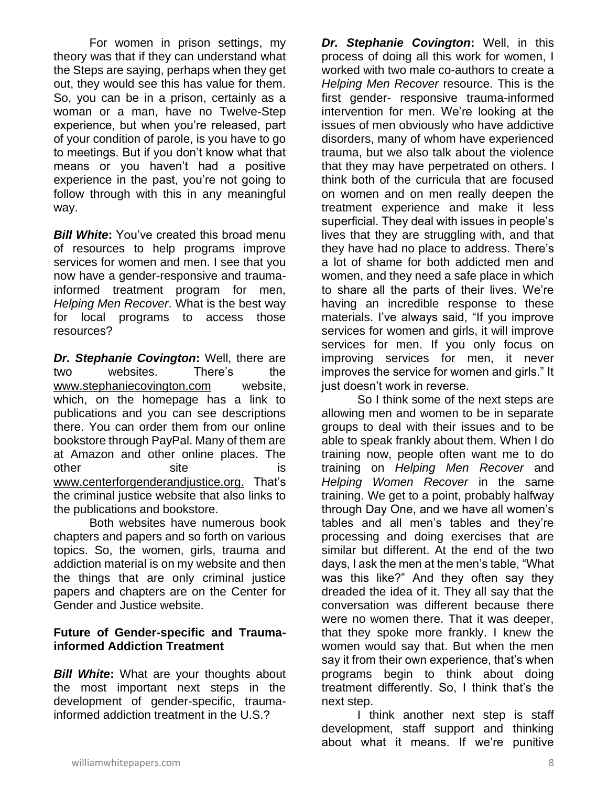For women in prison settings, my theory was that if they can understand what the Steps are saying, perhaps when they get out, they would see this has value for them. So, you can be in a prison, certainly as a woman or a man, have no Twelve-Step experience, but when you're released, part of your condition of parole, is you have to go to meetings. But if you don't know what that means or you haven't had a positive experience in the past, you're not going to follow through with this in any meaningful way.

**Bill White:** You've created this broad menu of resources to help programs improve services for women and men. I see that you now have a gender-responsive and traumainformed treatment program for men, *Helping Men Recover*. What is the best way for local programs to access those resources?

*Dr. Stephanie Covington***:** Well, there are two websites. There's the [www.stephaniecovington.com](http://www.stephaniecovington.com/) website, which, on the homepage has a link to publications and you can see descriptions there. You can order them from our online bookstore through PayPal. Many of them are at Amazon and other online places. The other site is [www.centerforgenderandjustice.org.](http://www.centerforgenderandjustice.org/) That's the criminal justice website that also links to the publications and bookstore.

Both websites have numerous book chapters and papers and so forth on various topics. So, the women, girls, trauma and addiction material is on my website and then the things that are only criminal justice papers and chapters are on the Center for Gender and Justice website.

## **Future of Gender-specific and Traumainformed Addiction Treatment**

*Bill White***:** What are your thoughts about the most important next steps in the development of gender-specific, traumainformed addiction treatment in the U.S.?

*Dr. Stephanie Covington***:** Well, in this process of doing all this work for women, I worked with two male co-authors to create a *Helping Men Recover* resource. This is the first gender- responsive trauma-informed intervention for men. We're looking at the issues of men obviously who have addictive disorders, many of whom have experienced trauma, but we also talk about the violence that they may have perpetrated on others. I think both of the curricula that are focused on women and on men really deepen the treatment experience and make it less superficial. They deal with issues in people's lives that they are struggling with, and that they have had no place to address. There's a lot of shame for both addicted men and women, and they need a safe place in which to share all the parts of their lives. We're having an incredible response to these materials. I've always said, "If you improve services for women and girls, it will improve services for men. If you only focus on improving services for men, it never improves the service for women and girls." It just doesn't work in reverse.

So I think some of the next steps are allowing men and women to be in separate groups to deal with their issues and to be able to speak frankly about them. When I do training now, people often want me to do training on *Helping Men Recover* and *Helping Women Recover* in the same training. We get to a point, probably halfway through Day One, and we have all women's tables and all men's tables and they're processing and doing exercises that are similar but different. At the end of the two days, I ask the men at the men's table, "What was this like?" And they often say they dreaded the idea of it. They all say that the conversation was different because there were no women there. That it was deeper, that they spoke more frankly. I knew the women would say that. But when the men say it from their own experience, that's when programs begin to think about doing treatment differently. So, I think that's the next step.

I think another next step is staff development, staff support and thinking about what it means. If we're punitive